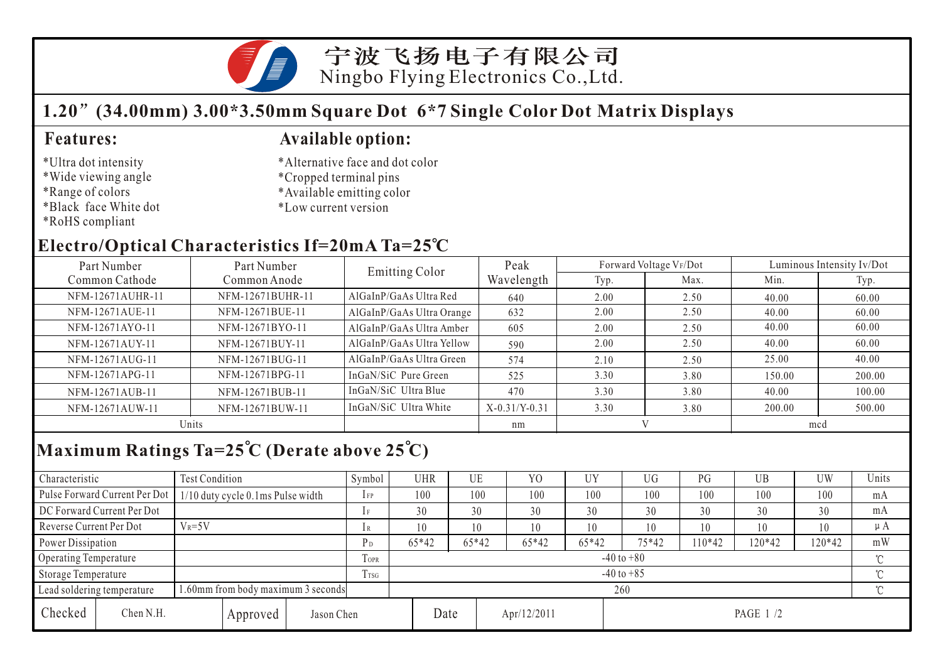

# **1.20 (34.00mm) 3.00\*3.50mm Square Dot 6\*7 Single Color Dot Matrix Displays**

### \*Ultra dot intensity

- \*Wide viewing angle
- \*Range of colors
- \*Black face White dot
- \*RoHS compliant

## **Features: Available option:**

- \*Alternative face and dot color
- \*Cropped terminal pins
- \*Available emitting color
- \*Low current version

# **Electro/Optical Characteristics If=20mA Ta=25 C**

| Part Number<br>Part Number |                  | Emitting Color            | Peak            |      | Forward Voltage VF/Dot |        | Luminous Intensity Iv/Dot |  |  |
|----------------------------|------------------|---------------------------|-----------------|------|------------------------|--------|---------------------------|--|--|
| Common Cathode             | Common Anode     |                           | Wavelength      | Typ. | Max.                   | Min.   | Typ.                      |  |  |
| NFM-12671AUHR-11           | NFM-12671BUHR-11 | AlGaInP/GaAs Ultra Red    | 640             | 2.00 | 2.50                   | 40.00  | 60.00                     |  |  |
| NFM-12671AUE-11            | NFM-12671BUE-11  | AlGaInP/GaAs Ultra Orange | 632             | 2.00 | 2.50                   | 40.00  | 60.00                     |  |  |
| NFM-12671AYO-11            | NFM-12671BYO-11  | AlGaInP/GaAs Ultra Amber  | 605             | 2.00 | 2.50                   | 40.00  | 60.00                     |  |  |
| NFM-12671AUY-11            | NFM-12671BUY-11  | AlGaInP/GaAs Ultra Yellow | 590             | 2.00 | 2.50                   | 40.00  | 60.00                     |  |  |
| NFM-12671AUG-11            | NFM-12671BUG-11  | AlGaInP/GaAs Ultra Green  | 574             | 2.10 | 2.50                   | 25.00  | 40.00                     |  |  |
| NFM-12671APG-11            | NFM-12671BPG-11  | InGaN/SiC Pure Green      | 525             | 3.30 | 3.80                   | 150.00 | 200.00                    |  |  |
| NFM-12671AUB-11            | NFM-12671BUB-11  | InGaN/SiC Ultra Blue      | 470             | 3.30 | 3.80                   | 40.00  | 100.00                    |  |  |
| NFM-12671AUW-11            | NFM-12671BUW-11  | InGaN/SiC Ultra White     | $X-0.31/Y-0.31$ | 3.30 | 3.80                   | 200.00 | 500.00                    |  |  |
| Units                      |                  |                           | nm              |      |                        | mcd    |                           |  |  |

# **Maximum Ratings Ta=25 C (Derate above 25 C)**

| Characteristic                                                  |                               | Test Condition                    |                |                | Symbol         | <b>UHR</b> |         | UE      | Y <sub>O</sub> | UY      | <b>UG</b> | PG     | UB         | <b>UW</b> | Units |
|-----------------------------------------------------------------|-------------------------------|-----------------------------------|----------------|----------------|----------------|------------|---------|---------|----------------|---------|-----------|--------|------------|-----------|-------|
|                                                                 | Pulse Forward Current Per Dot | 1/10 duty cycle 0.1ms Pulse width |                |                | $1$ FP         | 100        |         | 100     | 100            | 100     | 100       | 100    | 100        | 100       | mA    |
| DC Forward Current Per Dot                                      |                               |                                   |                | 1F             | 30             |            | 30      | 30      | 30             | 30      | 30        | 30     | 30         | mA        |       |
| Reverse Current Per Dot                                         | $V_R = 5V$                    |                                   |                | 1 R            | 10             |            | 10      | 10      | 10             | 10      | 10        | 10     | 10         | $\mu A$   |       |
| Power Dissipation                                               |                               |                                   | P <sub>D</sub> | $65*42$        |                | 65*42      | $65*42$ | $65*42$ | 75*42          | $10*42$ | $120*42$  | 120*42 | mW         |           |       |
| Operating Temperature                                           |                               |                                   |                | TOPR           | $-40$ to $+80$ |            |         |         |                |         |           |        |            |           |       |
| Storage Temperature                                             |                               |                                   | Trsg           | $-40$ to $+85$ |                |            |         |         |                |         |           |        | $^{\circ}$ |           |       |
| .60mm from body maximum 3 seconds<br>Lead soldering temperature |                               |                                   |                | 260            |                |            |         |         |                |         |           |        |            |           |       |
| Checked                                                         | Chen N.H.                     |                                   | Approved       | Jason Chen     |                |            | Date    |         | Apr/12/2011    |         | PAGE 1/2  |        |            |           |       |